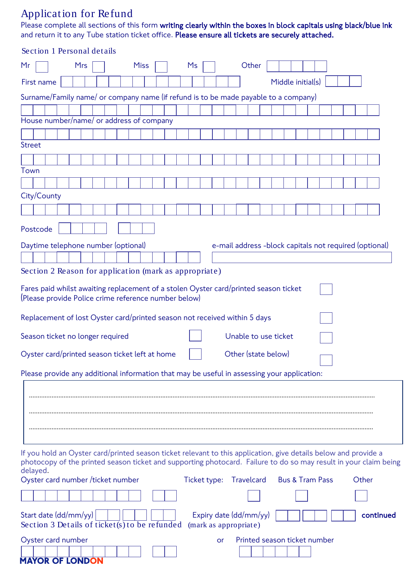## Application for Refund

Please complete all sections of this form **writing clearly within the boxes in block capitals using black/blue ink** and return it to any Tube station ticket office. Please ensure all tickets are securely attached.

## Section 1 Personal details

| Mr                                                                                                                                                                                                                                              | <b>Mrs</b> |  |  | <b>Miss</b> |  |  |  | Ms |    |  | Other                                                  |  |  |                   |  |       |           |
|-------------------------------------------------------------------------------------------------------------------------------------------------------------------------------------------------------------------------------------------------|------------|--|--|-------------|--|--|--|----|----|--|--------------------------------------------------------|--|--|-------------------|--|-------|-----------|
| First name                                                                                                                                                                                                                                      |            |  |  |             |  |  |  |    |    |  |                                                        |  |  | Middle initial(s) |  |       |           |
| Surname/Family name/ or company name (if refund is to be made payable to a company)                                                                                                                                                             |            |  |  |             |  |  |  |    |    |  |                                                        |  |  |                   |  |       |           |
|                                                                                                                                                                                                                                                 |            |  |  |             |  |  |  |    |    |  |                                                        |  |  |                   |  |       |           |
| House number/name/ or address of company                                                                                                                                                                                                        |            |  |  |             |  |  |  |    |    |  |                                                        |  |  |                   |  |       |           |
|                                                                                                                                                                                                                                                 |            |  |  |             |  |  |  |    |    |  |                                                        |  |  |                   |  |       |           |
| <b>Street</b>                                                                                                                                                                                                                                   |            |  |  |             |  |  |  |    |    |  |                                                        |  |  |                   |  |       |           |
|                                                                                                                                                                                                                                                 |            |  |  |             |  |  |  |    |    |  |                                                        |  |  |                   |  |       |           |
| Town                                                                                                                                                                                                                                            |            |  |  |             |  |  |  |    |    |  |                                                        |  |  |                   |  |       |           |
| City/County                                                                                                                                                                                                                                     |            |  |  |             |  |  |  |    |    |  |                                                        |  |  |                   |  |       |           |
|                                                                                                                                                                                                                                                 |            |  |  |             |  |  |  |    |    |  |                                                        |  |  |                   |  |       |           |
|                                                                                                                                                                                                                                                 |            |  |  |             |  |  |  |    |    |  |                                                        |  |  |                   |  |       |           |
| Postcode                                                                                                                                                                                                                                        |            |  |  |             |  |  |  |    |    |  |                                                        |  |  |                   |  |       |           |
| Daytime telephone number (optional)                                                                                                                                                                                                             |            |  |  |             |  |  |  |    |    |  | e-mail address -block capitals not required (optional) |  |  |                   |  |       |           |
|                                                                                                                                                                                                                                                 |            |  |  |             |  |  |  |    |    |  |                                                        |  |  |                   |  |       |           |
| Section 2 Reason for application (mark as appropriate)                                                                                                                                                                                          |            |  |  |             |  |  |  |    |    |  |                                                        |  |  |                   |  |       |           |
| Fares paid whilst awaiting replacement of a stolen Oyster card/printed season ticket<br>(Please provide Police crime reference number below)                                                                                                    |            |  |  |             |  |  |  |    |    |  |                                                        |  |  |                   |  |       |           |
| Replacement of lost Oyster card/printed season not received within 5 days                                                                                                                                                                       |            |  |  |             |  |  |  |    |    |  |                                                        |  |  |                   |  |       |           |
| Unable to use ticket<br>Season ticket no longer required                                                                                                                                                                                        |            |  |  |             |  |  |  |    |    |  |                                                        |  |  |                   |  |       |           |
| Other (state below)<br>Oyster card/printed season ticket left at home                                                                                                                                                                           |            |  |  |             |  |  |  |    |    |  |                                                        |  |  |                   |  |       |           |
| Please provide any additional information that may be useful in assessing your application:                                                                                                                                                     |            |  |  |             |  |  |  |    |    |  |                                                        |  |  |                   |  |       |           |
|                                                                                                                                                                                                                                                 |            |  |  |             |  |  |  |    |    |  |                                                        |  |  |                   |  |       |           |
|                                                                                                                                                                                                                                                 |            |  |  |             |  |  |  |    |    |  |                                                        |  |  |                   |  |       |           |
|                                                                                                                                                                                                                                                 |            |  |  |             |  |  |  |    |    |  |                                                        |  |  |                   |  |       |           |
|                                                                                                                                                                                                                                                 |            |  |  |             |  |  |  |    |    |  |                                                        |  |  |                   |  |       |           |
| If you hold an Oyster card/printed season ticket relevant to this application, give details below and provide a<br>photocopy of the printed season ticket and supporting photocard. Failure to do so may result in your claim being<br>delayed. |            |  |  |             |  |  |  |    |    |  |                                                        |  |  |                   |  |       |           |
| Oyster card number /ticket number                                                                                                                                                                                                               |            |  |  |             |  |  |  |    |    |  | Ticket type: Travelcard Bus & Tram Pass                |  |  |                   |  | Other |           |
|                                                                                                                                                                                                                                                 |            |  |  |             |  |  |  |    |    |  |                                                        |  |  |                   |  |       |           |
| Start date (dd/mm/yy)<br>Section 3 Details of ticket(s) to be refunded                                                                                                                                                                          |            |  |  |             |  |  |  |    |    |  | Expiry date (dd/mm/yy)<br>(mark as appropriate)        |  |  |                   |  |       | continued |
| Oyster card number<br><b>MAYOR OF LONDON</b>                                                                                                                                                                                                    |            |  |  |             |  |  |  |    | or |  | Printed season ticket number                           |  |  |                   |  |       |           |